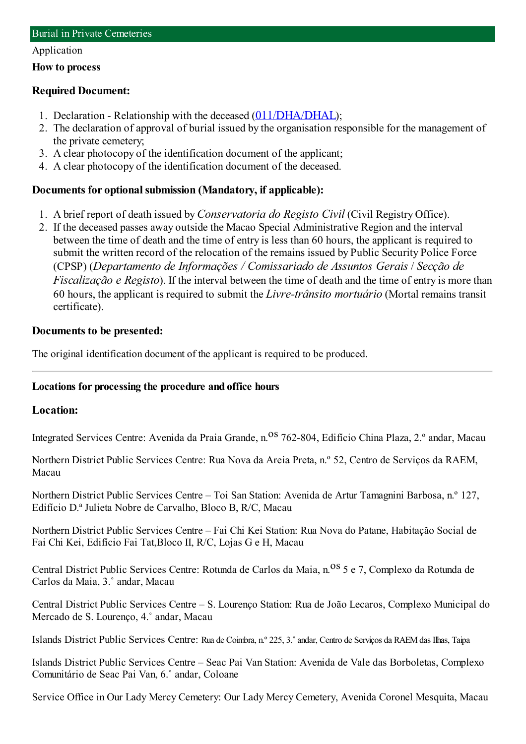#### Application

#### **How to process**

### **Required Document:**

- 1. Declaration Relationship with the deceased ([011/DHA/DHAL](https://www.iam.gov.mo/c/pdf/eformDetail/PDF357));
- 2. The declaration of approval of burial issued by the organisation responsible for the management of the private cemetery;
- 3. A clear photocopy of the identification document of the applicant;
- 4. A clear photocopy of the identification document of the deceased.

# **Documents for optionalsubmission (Mandatory, if applicable):**

- 1. A brief report of death issued by*Conservatoria do Registo Civil* (Civil RegistryOffice).
- 2. If the deceased passes away outside the Macao Special Administrative Region and the interval between the time of death and the time of entry is less than 60 hours, the applicant is required to submit the written record of the relocation of the remains issued by Public Security Police Force (CPSP) (*Departamento de Informações / Comissariado de Assuntos Gerais* / *Secção de Fiscalização e Registo*). If the interval between the time of death and the time of entry is more than 60 hours, the applicant is required to submit the *Livre-trânsito mortuário* (Mortal remains transit certificate).

### **Documents to be presented:**

The original identification document of the applicant is required to be produced.

### **Locations for processing the procedure and office hours**

### **Location:**

Integrated Services Centre: Avenida da Praia Grande, n.<sup>08</sup> 762-804, Edifício China Plaza, 2.º andar, Macau

Northern District Public Services Centre: Rua Nova da Areia Preta, n.º 52, Centro de Serviços da RAEM, Macau

Northern District Public Services Centre – Toi San Station: Avenida de Artur Tamagnini Barbosa, n.º 127, Edifício D.ª Julieta Nobre de Carvalho, Bloco B, R/C, Macau

Northern District Public Services Centre – Fai Chi Kei Station: Rua Nova do Patane, Habitação Social de Fai Chi Kei, Edifício Fai Tat,Bloco II, R/C, Lojas G e H, Macau

Central District Public Services Centre: Rotunda de Carlos da Maia, n.<sup>08</sup> 5 e 7, Complexo da Rotunda de Carlos da Maia, 3.˚ andar, Macau

Central District Public Services Centre – S. Lourenço Station: Rua de João Lecaros, Complexo Municipal do Mercado de S. Lourenço, 4.˚ andar, Macau

Islands District Public Services Centre: Rua de Coimbra, n.º 225, 3.˚andar, Centro de Serviços da RAEMdas Ilhas, Taipa

Islands District Public Services Centre – Seac Pai Van Station: Avenida de Vale das Borboletas, Complexo Comunitário de Seac Pai Van, 6.˚ andar, Coloane

Service Office in Our Lady Mercy Cemetery: Our Lady Mercy Cemetery, Avenida Coronel Mesquita, Macau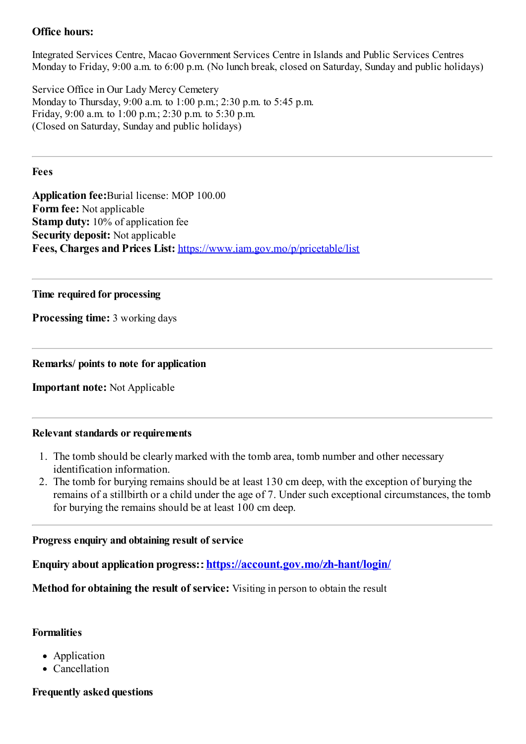# **Office hours:**

Integrated Services Centre, Macao Government Services Centre in Islands and Public Services Centres Monday to Friday, 9:00 a.m. to 6:00 p.m. (No lunch break, closed on Saturday, Sunday and public holidays)

Service Office in Our Lady Mercy Cemetery Monday to Thursday, 9:00 a.m. to 1:00 p.m.; 2:30 p.m. to 5:45 p.m. Friday, 9:00 a.m. to 1:00 p.m.; 2:30 p.m. to 5:30 p.m. (Closed on Saturday, Sunday and public holidays)

### **Fees**

**Application fee:**Burial license: MOP 100.00 **Form fee:** Not applicable **Stamp duty:** 10% of application fee **Security deposit:** Not applicable **Fees, Charges and Prices List:** <https://www.iam.gov.mo/p/pricetable/list>

### **Time required for processing**

**Processing time:** 3 working days

### **Remarks/ points to note for application**

**Important note:** Not Applicable

### **Relevant standards or requirements**

- 1. The tomb should be clearlymarked with the tomb area, tomb number and other necessary identification information.
- 2. The tomb for burying remains should be at least 130 cm deep, with the exception of burying the remains of a stillbirth or a child under the age of 7. Under such exceptional circumstances, the tomb for burying the remains should be at least 100 cm deep.

### **Progress enquiry and obtaining result of service**

**Enquiry about application progress:**:**<https://account.gov.mo/zh-hant/login/>**

**Method for obtaining the result of service:** Visiting in person to obtain the result

### **Formalities**

- Application
- Cancellation

# **Frequently asked questions**